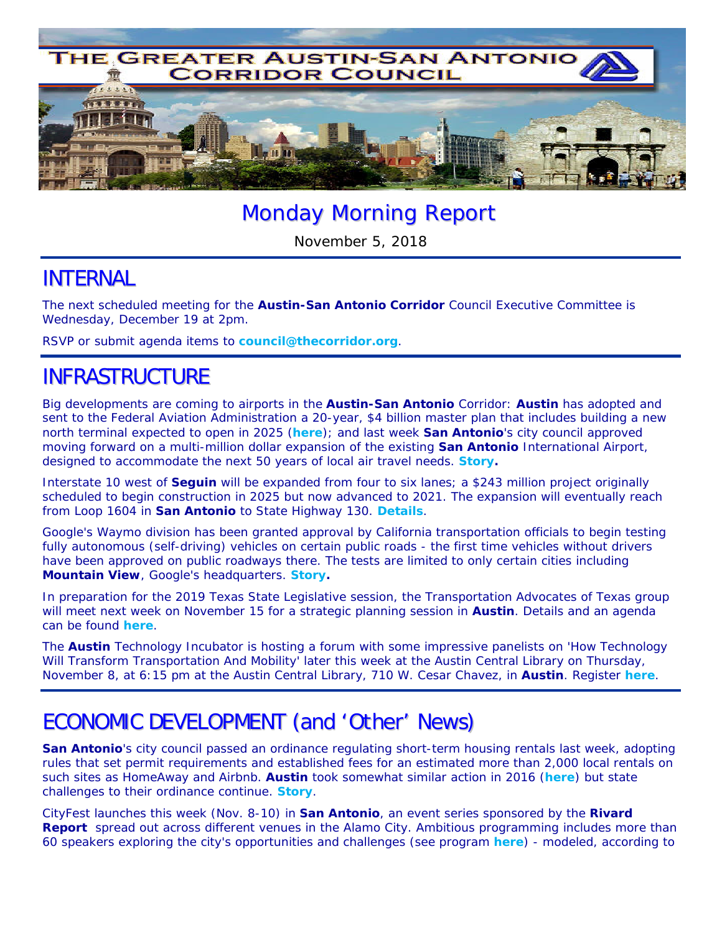

# Monday Morning Report

November 5, 2018

### INTERNAL

The next scheduled meeting for the **Austin-San Antonio Corridor** Council Executive Committee is Wednesday, December 19 at 2pm.

RSVP or submit agenda items to **council@thecorridor.org**.

## INFRASTRUCTURE

Big developments are coming to airports in the **Austin-San Antonio** Corridor: **Austin** has adopted and sent to the Federal Aviation Administration a 20-year, \$4 billion master plan that includes building a new north terminal expected to open in 2025 (*here*); and last week **San Antonio**'s city council approved moving forward on a multi-million dollar expansion of the existing **San Antonio** International Airport, designed to accommodate the next 50 years of local air travel needs. *Story***.** 

Interstate 10 west of **Seguin** will be expanded from four to six lanes; a \$243 million project originally scheduled to begin construction in 2025 but now advanced to 2021. The expansion will eventually reach from Loop 1604 in **San Antonio** to State Highway 130. *Details*.

Google's Waymo division has been granted approval by California transportation officials to begin testing fully autonomous (self-driving) vehicles on certain public roads - the first time vehicles without drivers have been approved on public roadways there. The tests are limited to only certain cities including **Mountain View**, Google's headquarters. *Story***.** 

In preparation for the 2019 Texas State Legislative session, the Transportation Advocates of Texas group will meet next week on November 15 for a strategic planning session in **Austin**. Details and an agenda can be found *here*.

The **Austin** Technology Incubator is hosting a forum with some impressive panelists on *'How Technology Will Transform Transportation And Mobility'* later this week at the Austin Central Library on Thursday, November 8, at 6:15 pm at the Austin Central Library, 710 W. Cesar Chavez, in **Austin**. Register *here*.

# ECONOMIC DEVELOPMENT (and 'Other' News)

**San Antonio**'s city council passed an ordinance regulating short-term housing rentals last week, adopting rules that set permit requirements and established fees for an estimated more than 2,000 local rentals on such sites as HomeAway and Airbnb. **Austin** took somewhat similar action in 2016 (*here*) but state challenges to their ordinance continue. *Story*.

CityFest launches this week (Nov. 8-10) in **San Antonio**, an event series sponsored by the *Rivard*  **Report** spread out across different venues in the Alamo City. Ambitious programming includes more than 60 speakers exploring the city's opportunities and challenges (see program *here*) - modeled, according to